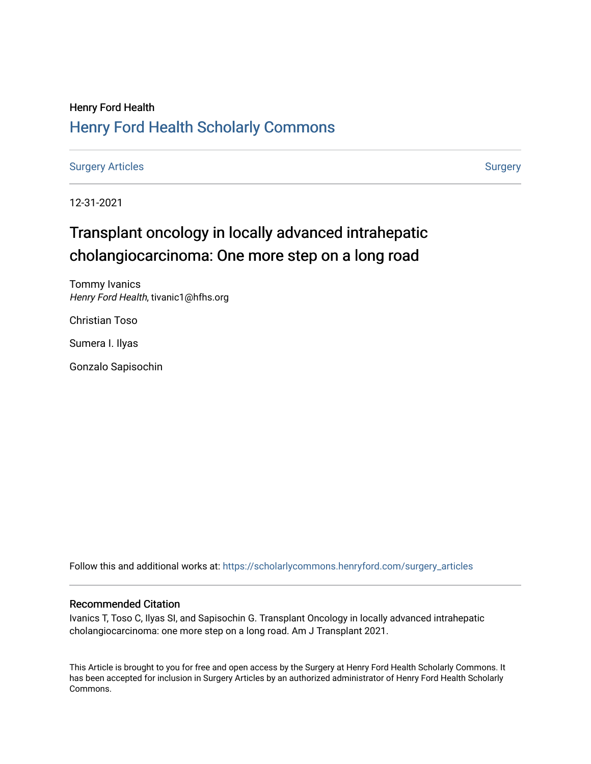# Henry Ford Health [Henry Ford Health Scholarly Commons](https://scholarlycommons.henryford.com/)

[Surgery Articles](https://scholarlycommons.henryford.com/surgery_articles) **[Surgery](https://scholarlycommons.henryford.com/surgery) Articles** Surgery

12-31-2021

# Transplant oncology in locally advanced intrahepatic cholangiocarcinoma: One more step on a long road

Tommy Ivanics Henry Ford Health, tivanic1@hfhs.org

Christian Toso

Sumera I. Ilyas

Gonzalo Sapisochin

Follow this and additional works at: [https://scholarlycommons.henryford.com/surgery\\_articles](https://scholarlycommons.henryford.com/surgery_articles?utm_source=scholarlycommons.henryford.com%2Fsurgery_articles%2F549&utm_medium=PDF&utm_campaign=PDFCoverPages)

# Recommended Citation

Ivanics T, Toso C, Ilyas SI, and Sapisochin G. Transplant Oncology in locally advanced intrahepatic cholangiocarcinoma: one more step on a long road. Am J Transplant 2021.

This Article is brought to you for free and open access by the Surgery at Henry Ford Health Scholarly Commons. It has been accepted for inclusion in Surgery Articles by an authorized administrator of Henry Ford Health Scholarly Commons.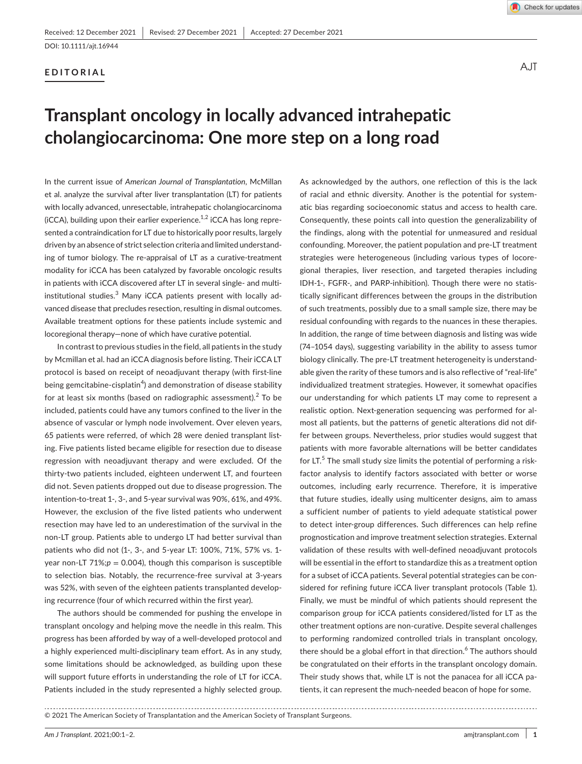## **EDITORIAL**



A.JT

# **Transplant oncology in locally advanced intrahepatic cholangiocarcinoma: One more step on a long road**

In the current issue of *American Journal of Transplantation*, McMillan et al. analyze the survival after liver transplantation (LT) for patients with locally advanced, unresectable, intrahepatic cholangiocarcinoma ( $\text{ICCA}$ ), building upon their earlier experience.<sup>1,2</sup> iCCA has long represented a contraindication for LT due to historically poor results, largely driven by an absence of strict selection criteria and limited understanding of tumor biology. The re-appraisal of LT as a curative-treatment modality for iCCA has been catalyzed by favorable oncologic results in patients with iCCA discovered after LT in several single- and multiinstitutional studies. $3$  Many iCCA patients present with locally advanced disease that precludes resection, resulting in dismal outcomes. Available treatment options for these patients include systemic and locoregional therapy—none of which have curative potential.

In contrast to previous studies in the field, all patients in the study by Mcmillan et al. had an iCCA diagnosis before listing. Their iCCA LT protocol is based on receipt of neoadjuvant therapy (with first-line being gemcitabine-cisplatin<sup>4</sup>) and demonstration of disease stability for at least six months (based on radiographic assessment). $^2$  To be included, patients could have any tumors confined to the liver in the absence of vascular or lymph node involvement. Over eleven years, 65 patients were referred, of which 28 were denied transplant listing. Five patients listed became eligible for resection due to disease regression with neoadjuvant therapy and were excluded. Of the thirty-two patients included, eighteen underwent LT, and fourteen did not. Seven patients dropped out due to disease progression. The intention-to-treat 1-, 3-, and 5-year survival was 90%, 61%, and 49%. However, the exclusion of the five listed patients who underwent resection may have led to an underestimation of the survival in the non-LT group. Patients able to undergo LT had better survival than patients who did not (1-, 3-, and 5-year LT: 100%, 71%, 57% vs. 1 year non-LT 71%; $p = 0.004$ ), though this comparison is susceptible to selection bias. Notably, the recurrence-free survival at 3-years was 52%, with seven of the eighteen patients transplanted developing recurrence (four of which recurred within the first year).

The authors should be commended for pushing the envelope in transplant oncology and helping move the needle in this realm. This progress has been afforded by way of a well-developed protocol and a highly experienced multi-disciplinary team effort. As in any study, some limitations should be acknowledged, as building upon these will support future efforts in understanding the role of LT for iCCA. Patients included in the study represented a highly selected group.

As acknowledged by the authors, one reflection of this is the lack of racial and ethnic diversity. Another is the potential for systematic bias regarding socioeconomic status and access to health care. Consequently, these points call into question the generalizability of the findings, along with the potential for unmeasured and residual confounding. Moreover, the patient population and pre-LT treatment strategies were heterogeneous (including various types of locoregional therapies, liver resection, and targeted therapies including IDH-1-, FGFR-, and PARP-inhibition). Though there were no statistically significant differences between the groups in the distribution of such treatments, possibly due to a small sample size, there may be residual confounding with regards to the nuances in these therapies. In addition, the range of time between diagnosis and listing was wide (74–1054 days), suggesting variability in the ability to assess tumor biology clinically. The pre-LT treatment heterogeneity is understandable given the rarity of these tumors and is also reflective of "real-life" individualized treatment strategies. However, it somewhat opacifies our understanding for which patients LT may come to represent a realistic option. Next-generation sequencing was performed for almost all patients, but the patterns of genetic alterations did not differ between groups. Nevertheless, prior studies would suggest that patients with more favorable alternations will be better candidates for  $LT$ <sup>5</sup> The small study size limits the potential of performing a riskfactor analysis to identify factors associated with better or worse outcomes, including early recurrence. Therefore, it is imperative that future studies, ideally using multicenter designs, aim to amass a sufficient number of patients to yield adequate statistical power to detect inter-group differences. Such differences can help refine prognostication and improve treatment selection strategies. External validation of these results with well-defined neoadjuvant protocols will be essential in the effort to standardize this as a treatment option for a subset of iCCA patients. Several potential strategies can be considered for refining future iCCA liver transplant protocols (Table 1). Finally, we must be mindful of which patients should represent the comparison group for iCCA patients considered/listed for LT as the other treatment options are non-curative. Despite several challenges to performing randomized controlled trials in transplant oncology, there should be a global effort in that direction.<sup>6</sup> The authors should be congratulated on their efforts in the transplant oncology domain. Their study shows that, while LT is not the panacea for all iCCA patients, it can represent the much-needed beacon of hope for some.

<sup>© 2021</sup> The American Society of Transplantation and the American Society of Transplant Surgeons.